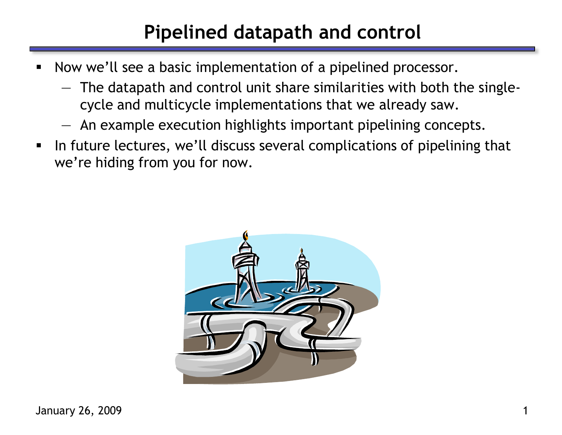# **Pipelined datapath and control**

- Now we'll see a basic implementation of a pipelined processor.
	- The datapath and control unit share similarities with both the singlecycle and multicycle implementations that we already saw.
	- An example execution highlights important pipelining concepts.
- In future lectures, we'll discuss several complications of pipelining that we're hiding from you for now.

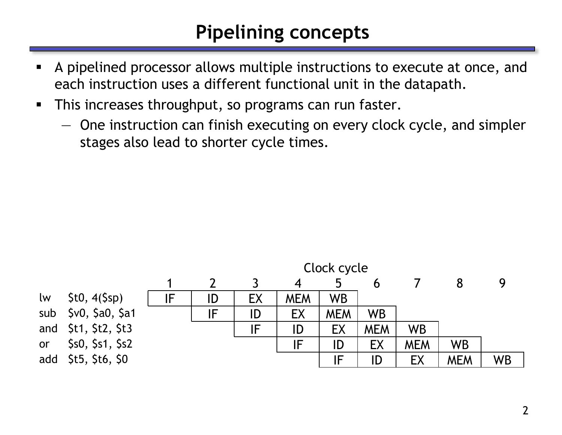# **Pipelining concepts**

- A pipelined processor allows multiple instructions to execute at once, and each instruction uses a different functional unit in the datapath.
- **This increases throughput, so programs can run faster.** 
	- One instruction can finish executing on every clock cycle, and simpler stages also lead to shorter cycle times.

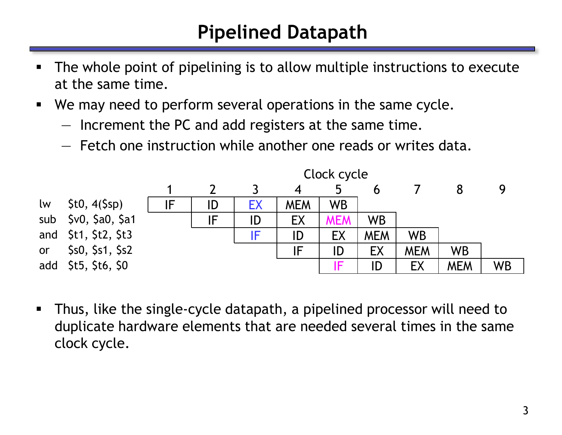# **Pipelined Datapath**

- The whole point of pipelining is to allow multiple instructions to execute at the same time.
- We may need to perform several operations in the same cycle.
	- Increment the PC and add registers at the same time.
	- Fetch one instruction while another one reads or writes data.

|     |                     | Clock cycle |    |    |                  |            |            |            |            |           |
|-----|---------------------|-------------|----|----|------------------|------------|------------|------------|------------|-----------|
|     |                     |             |    |    | $\boldsymbol{4}$ | 5          |            |            |            |           |
| lw  | \$t0, 4(Ssp)        | IF          | ID | EХ | <b>MEM</b>       | <b>WB</b>  |            |            |            |           |
| sub | \$v0, \$a0, \$a1    |             | IF | ID | EX               | <b>MEM</b> | <b>WB</b>  |            |            |           |
| and | \$t1, \$t2, \$t3    |             |    | IF | ID               | EX         | <b>MEM</b> | <b>WB</b>  |            |           |
| or  | \$s0, \$s1, \$s2    |             |    |    | IF               | ID         | EX         | <b>MEM</b> | <b>WB</b>  |           |
|     | add \$t5, \$t6, \$0 |             |    |    |                  | F          | ID         | EX         | <b>MEM</b> | <b>WB</b> |

 Thus, like the single-cycle datapath, a pipelined processor will need to duplicate hardware elements that are needed several times in the same clock cycle.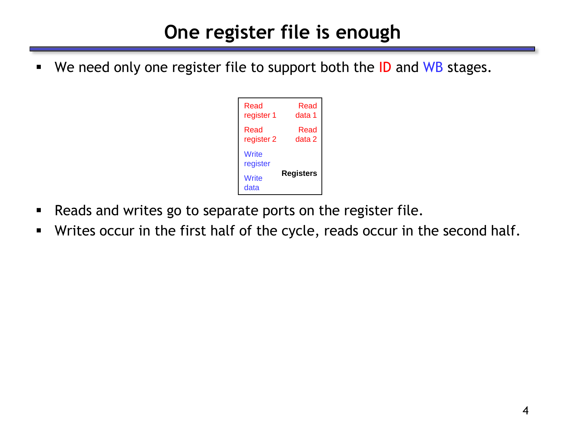# **One register file is enough**

We need only one register file to support both the ID and WB stages.



- **Reads and writes go to separate ports on the register file.**
- Writes occur in the first half of the cycle, reads occur in the second half.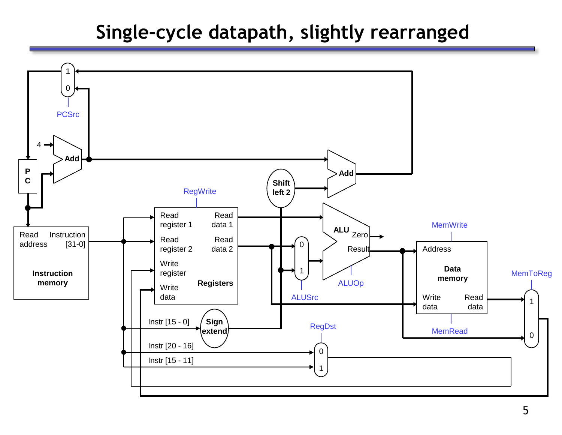### **Single-cycle datapath, slightly rearranged**

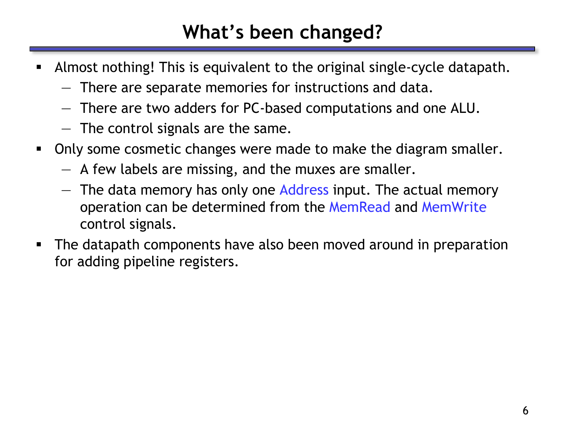# **What's been changed?**

- Almost nothing! This is equivalent to the original single-cycle datapath.
	- There are separate memories for instructions and data.
	- There are two adders for PC-based computations and one ALU.
	- The control signals are the same.
- Only some cosmetic changes were made to make the diagram smaller.
	- A few labels are missing, and the muxes are smaller.
	- The data memory has only one Address input. The actual memory operation can be determined from the MemRead and MemWrite control signals.
- The datapath components have also been moved around in preparation for adding pipeline registers.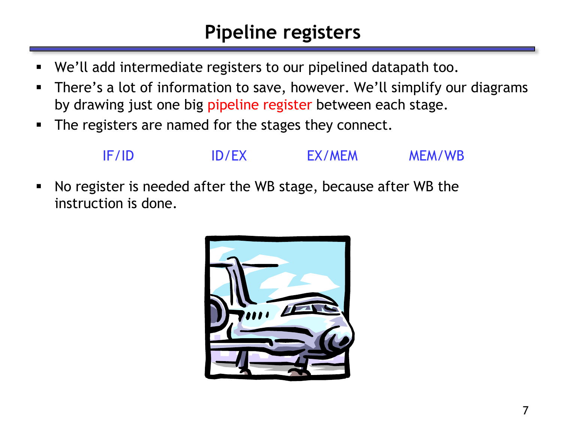## **Pipeline registers**

- We'll add intermediate registers to our pipelined datapath too.
- There's a lot of information to save, however. We'll simplify our diagrams by drawing just one big pipeline register between each stage.
- **The registers are named for the stages they connect.**



 No register is needed after the WB stage, because after WB the instruction is done.

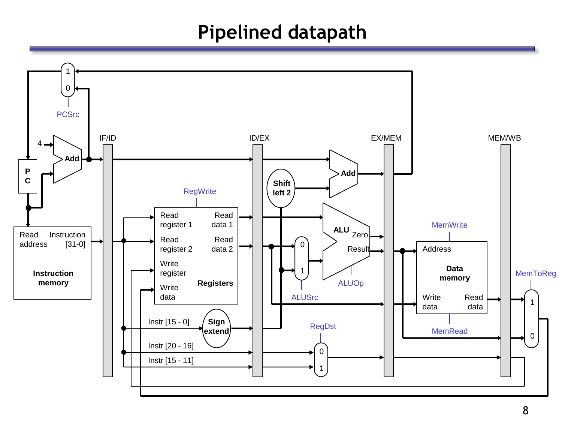#### **Pipelined datapath**

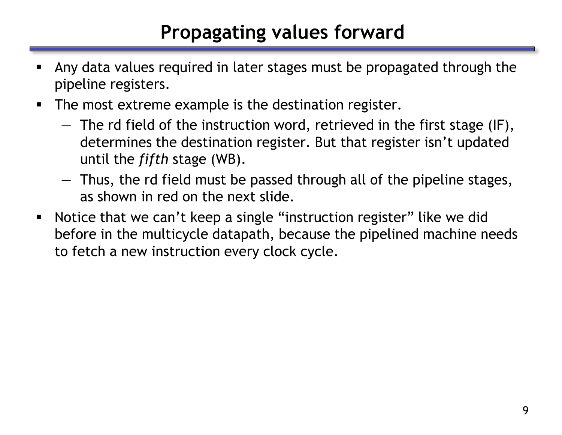# **Propagating values forward**

- Any data values required in later stages must be propagated through the pipeline registers.
- **The most extreme example is the destination register.** 
	- The rd field of the instruction word, retrieved in the first stage (IF), determines the destination register. But that register isn't updated until the *fifth* stage (WB).
	- Thus, the rd field must be passed through all of the pipeline stages, as shown in red on the next slide.
- Notice that we can't keep a single "instruction register" like we did before in the multicycle datapath, because the pipelined machine needs to fetch a new instruction every clock cycle.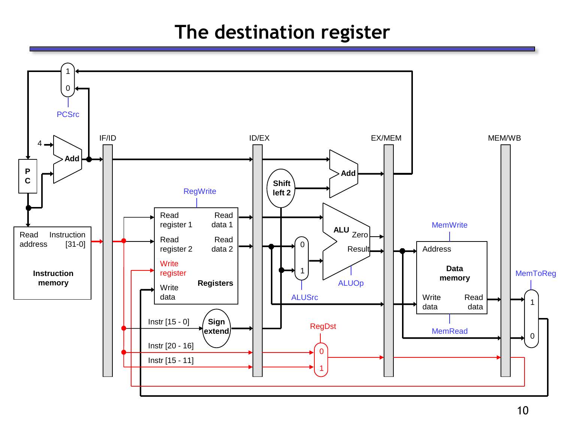### **The destination register**

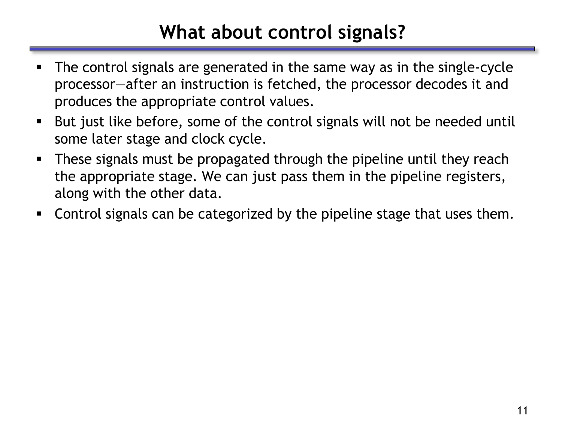## **What about control signals?**

- The control signals are generated in the same way as in the single-cycle processor—after an instruction is fetched, the processor decodes it and produces the appropriate control values.
- But just like before, some of the control signals will not be needed until some later stage and clock cycle.
- These signals must be propagated through the pipeline until they reach the appropriate stage. We can just pass them in the pipeline registers, along with the other data.
- Control signals can be categorized by the pipeline stage that uses them.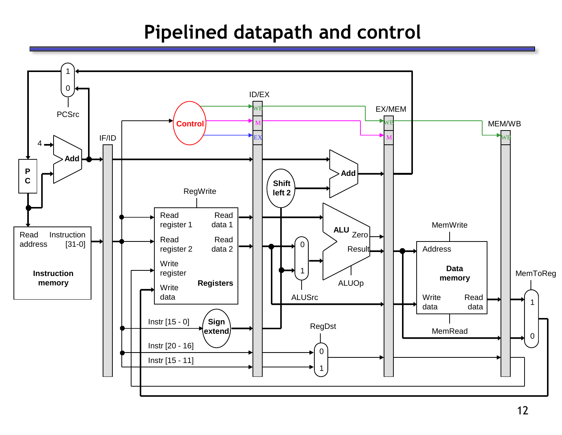### **Pipelined datapath and control**

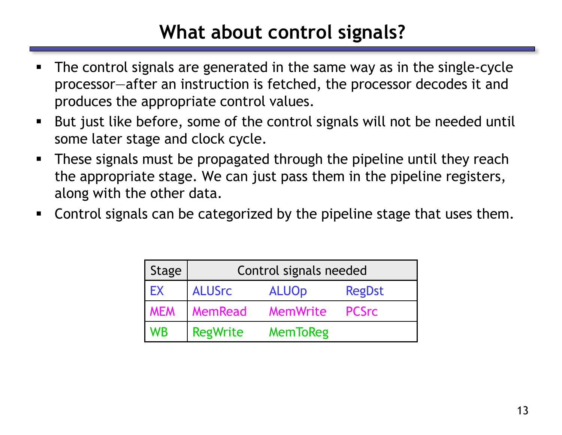# **What about control signals?**

- The control signals are generated in the same way as in the single-cycle processor—after an instruction is fetched, the processor decodes it and produces the appropriate control values.
- But just like before, some of the control signals will not be needed until some later stage and clock cycle.
- These signals must be propagated through the pipeline until they reach the appropriate stage. We can just pass them in the pipeline registers, along with the other data.
- Control signals can be categorized by the pipeline stage that uses them.

| Stage      | Control signals needed |                 |               |  |  |  |  |
|------------|------------------------|-----------------|---------------|--|--|--|--|
| EX         | <b>ALUSrc</b>          | <b>ALUOp</b>    | <b>RegDst</b> |  |  |  |  |
| <b>MEM</b> | MemRead                | <b>MemWrite</b> | <b>PCSrc</b>  |  |  |  |  |
| WB         | <b>RegWrite</b>        | <b>MemToReg</b> |               |  |  |  |  |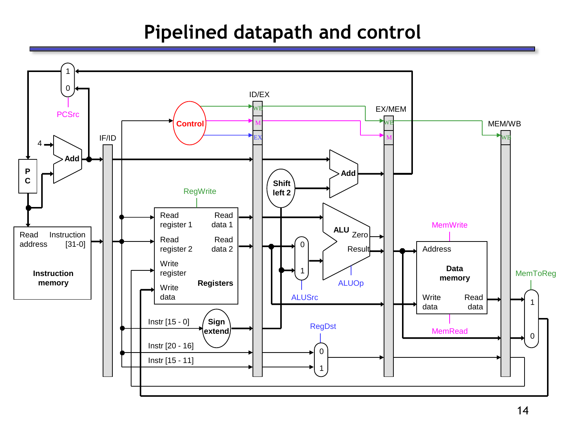### **Pipelined datapath and control**

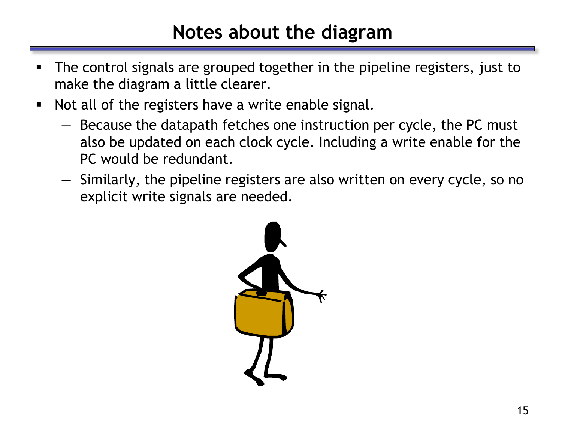### **Notes about the diagram**

- The control signals are grouped together in the pipeline registers, just to make the diagram a little clearer.
- Not all of the registers have a write enable signal.
	- Because the datapath fetches one instruction per cycle, the PC must also be updated on each clock cycle. Including a write enable for the PC would be redundant.
	- Similarly, the pipeline registers are also written on every cycle, so no explicit write signals are needed.

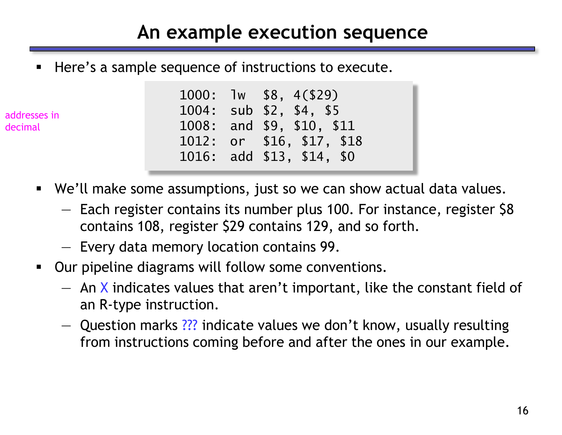### **An example execution sequence**

Here's a sample sequence of instructions to execute.

addresses in decimal

- 1000: lw \$8, 4(\$29) 1004: sub \$2, \$4, \$5 1008: and \$9, \$10, \$11 1012: or \$16, \$17, \$18 1016: add \$13, \$14, \$0
- We'll make some assumptions, just so we can show actual data values.
	- Each register contains its number plus 100. For instance, register \$8 contains 108, register \$29 contains 129, and so forth.
	- Every data memory location contains 99.
- Our pipeline diagrams will follow some conventions.
	- $-$  An X indicates values that aren't important, like the constant field of an R-type instruction.
	- Question marks ??? indicate values we don't know, usually resulting from instructions coming before and after the ones in our example.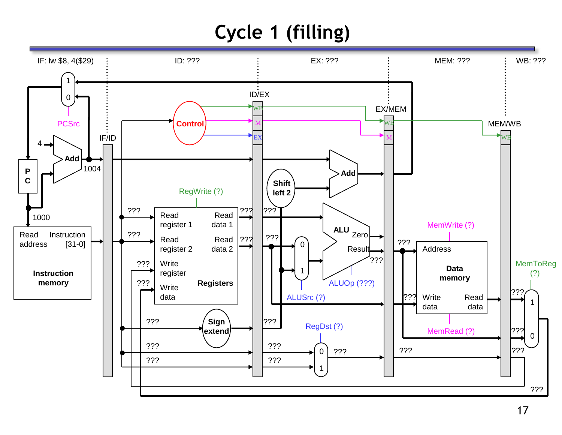# **Cycle 1 (filling)**

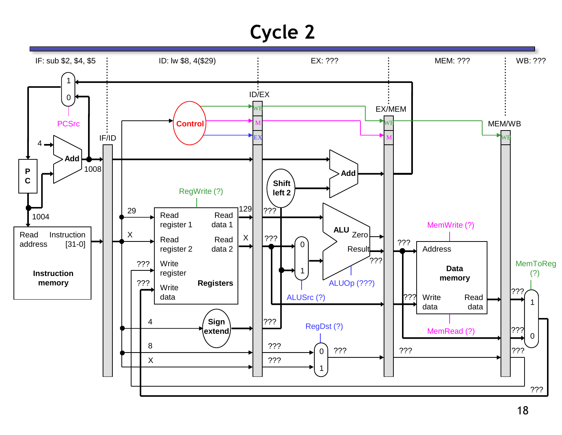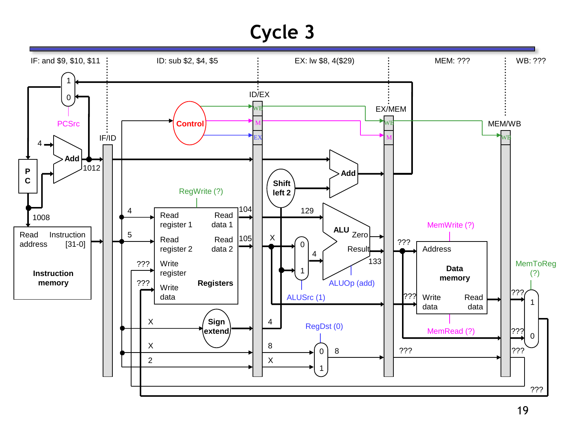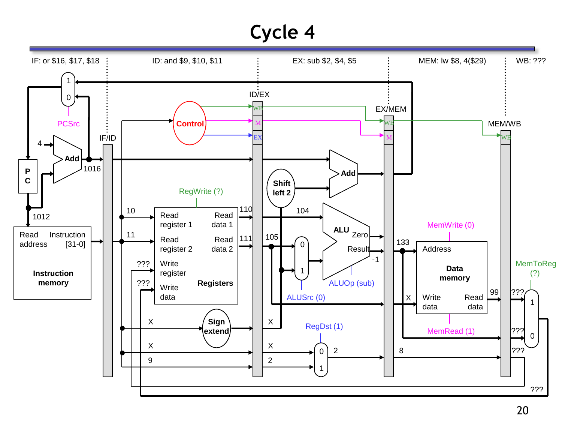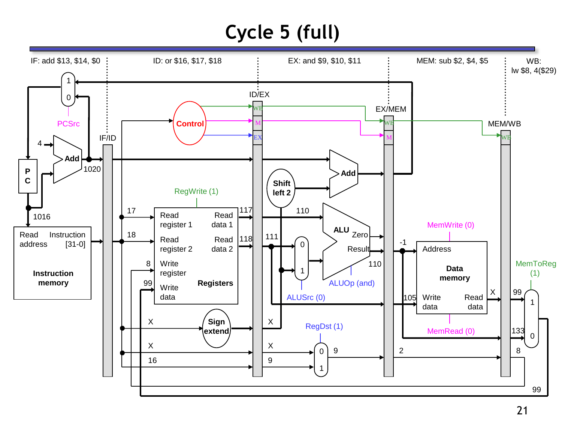# **Cycle 5 (full)**

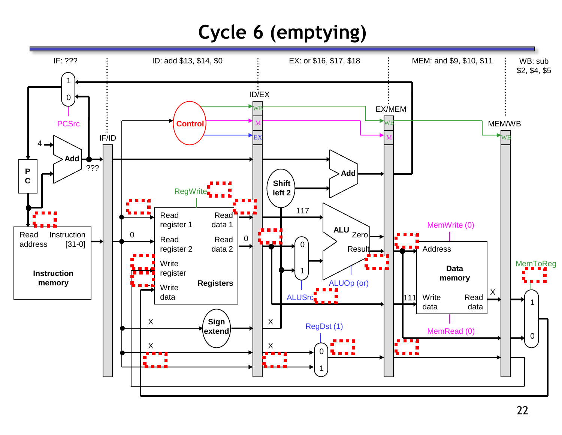# **Cycle 6 (emptying)**

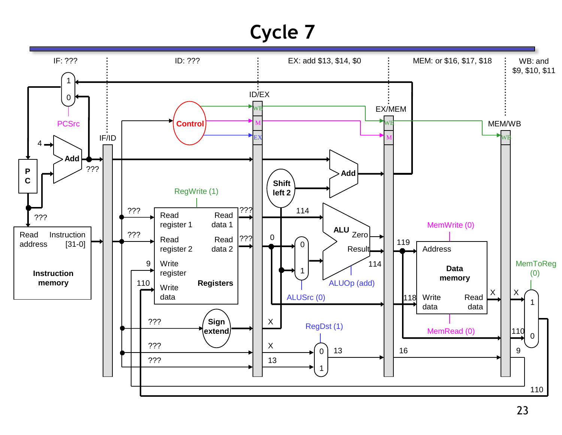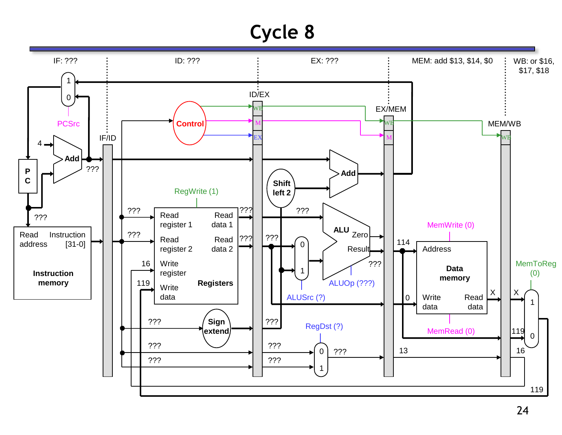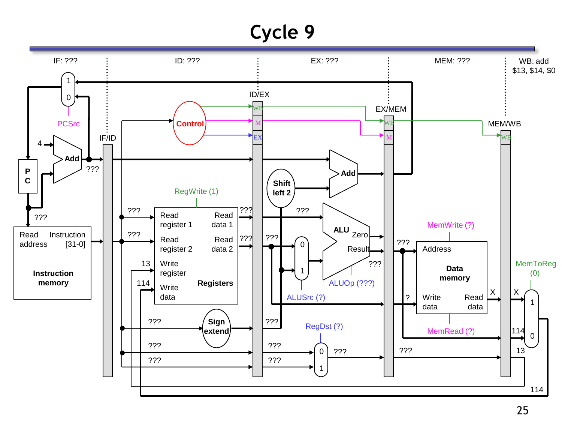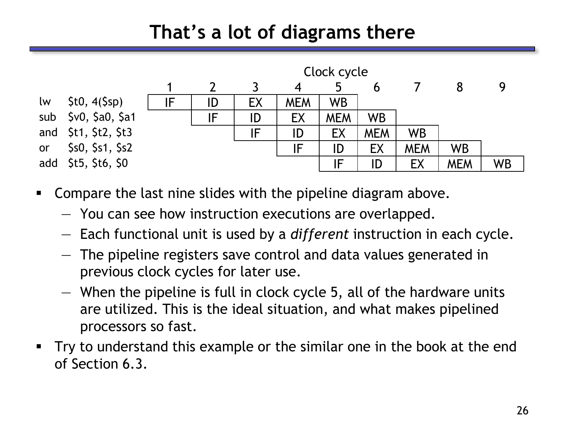## **That's a lot of diagrams there**



- **Compare the last nine slides with the pipeline diagram above.** 
	- You can see how instruction executions are overlapped.
	- Each functional unit is used by a *different* instruction in each cycle.
	- The pipeline registers save control and data values generated in previous clock cycles for later use.
	- When the pipeline is full in clock cycle 5, all of the hardware units are utilized. This is the ideal situation, and what makes pipelined processors so fast.
- Try to understand this example or the similar one in the book at the end of Section 6.3.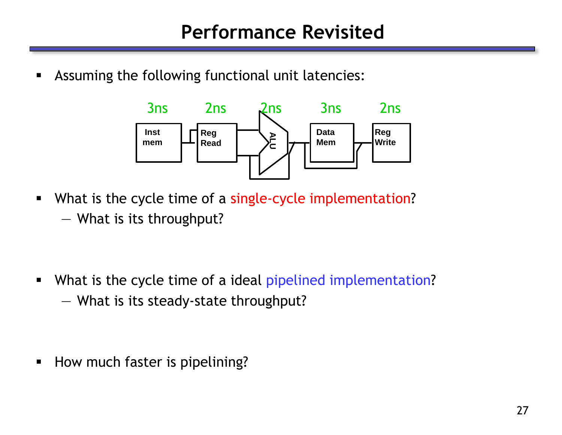Assuming the following functional unit latencies:



What is the cycle time of a single-cycle implementation? — What is its throughput?

What is the cycle time of a ideal pipelined implementation? — What is its steady-state throughput?

**How much faster is pipelining?**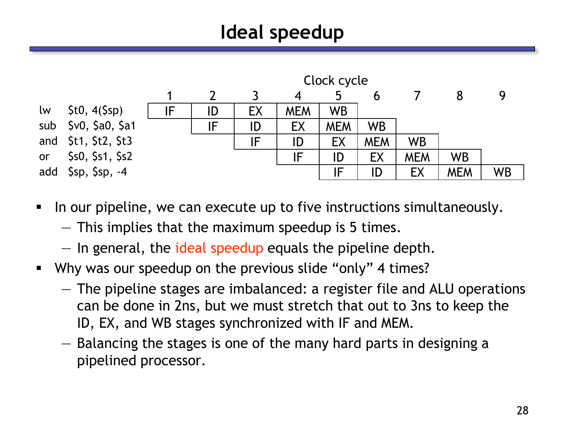# **Ideal speedup**



- In our pipeline, we can execute up to five instructions simultaneously.
	- This implies that the maximum speedup is 5 times.
	- In general, the ideal speedup equals the pipeline depth.
- Why was our speedup on the previous slide "only" 4 times?
	- The pipeline stages are imbalanced: a register file and ALU operations can be done in 2ns, but we must stretch that out to 3ns to keep the ID, EX, and WB stages synchronized with IF and MEM.
	- Balancing the stages is one of the many hard parts in designing a pipelined processor.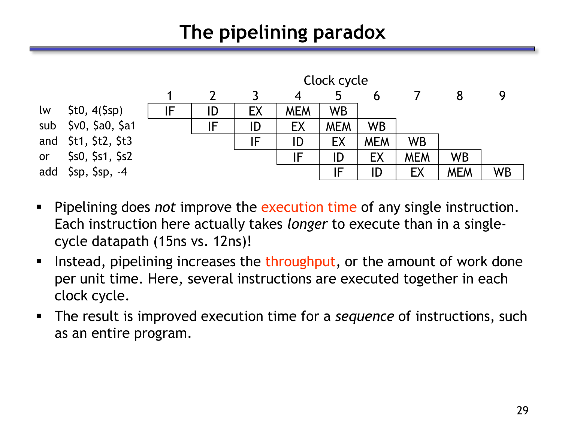# **The pipelining paradox**



- Pipelining does *not* improve the execution time of any single instruction. Each instruction here actually takes *longer* to execute than in a singlecycle datapath (15ns vs. 12ns)!
- Instead, pipelining increases the throughput, or the amount of work done per unit time. Here, several instructions are executed together in each clock cycle.
- The result is improved execution time for a *sequence* of instructions, such as an entire program.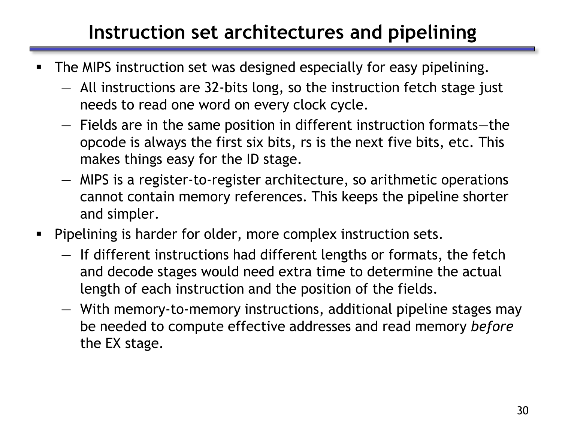## **Instruction set architectures and pipelining**

- The MIPS instruction set was designed especially for easy pipelining.
	- All instructions are 32-bits long, so the instruction fetch stage just needs to read one word on every clock cycle.
	- Fields are in the same position in different instruction formats—the opcode is always the first six bits, rs is the next five bits, etc. This makes things easy for the ID stage.
	- MIPS is a register-to-register architecture, so arithmetic operations cannot contain memory references. This keeps the pipeline shorter and simpler.
- **Pipelining is harder for older, more complex instruction sets.** 
	- If different instructions had different lengths or formats, the fetch and decode stages would need extra time to determine the actual length of each instruction and the position of the fields.
	- With memory-to-memory instructions, additional pipeline stages may be needed to compute effective addresses and read memory *before*  the EX stage.